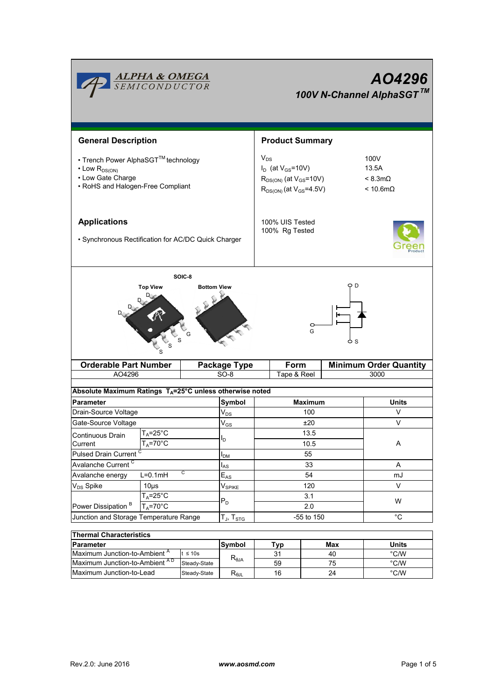|                                                                                                                                                      | <b>ALPHA &amp; OMEGA</b><br>SEMICONDUCTOR |                                   | AO4296<br>100V N-Channel AlphaSGT™                                                                            |                                                            |                |              |  |  |  |  |
|------------------------------------------------------------------------------------------------------------------------------------------------------|-------------------------------------------|-----------------------------------|---------------------------------------------------------------------------------------------------------------|------------------------------------------------------------|----------------|--------------|--|--|--|--|
| <b>General Description</b>                                                                                                                           |                                           |                                   | <b>Product Summary</b>                                                                                        |                                                            |                |              |  |  |  |  |
| • Trench Power AlphaSGT™ technology<br>$\cdot$ Low $R_{DS(ON)}$<br>• Low Gate Charge<br>• RoHS and Halogen-Free Compliant                            |                                           |                                   | $V_{DS}$<br>$I_D$ (at $V_{GS}$ =10V)<br>$R_{DS(ON)}$ (at $V_{GS}$ =10V)<br>$R_{DS(ON)}$ (at $V_{GS} = 4.5V$ ) | 100V<br>13.5A<br>$< 8.3$ m $\Omega$<br>$< 10.6$ m $\Omega$ |                |              |  |  |  |  |
| <b>Applications</b><br>• Synchronous Rectification for AC/DC Quick Charger                                                                           |                                           | 100% UIS Tested<br>100% Rg Tested |                                                                                                               |                                                            |                |              |  |  |  |  |
| SOIC-8<br><b>Top View</b><br><b>Bottom View</b><br>G<br><b>Orderable Part Number</b><br>Form<br><b>Minimum Order Quantity</b><br><b>Package Type</b> |                                           |                                   |                                                                                                               |                                                            |                |              |  |  |  |  |
| AO4296                                                                                                                                               |                                           |                                   | $SO-8$                                                                                                        | Tape & Reel                                                |                | 3000         |  |  |  |  |
| Absolute Maximum Ratings T <sub>A</sub> =25°C unless otherwise noted                                                                                 |                                           |                                   |                                                                                                               |                                                            |                |              |  |  |  |  |
| <b>Parameter</b>                                                                                                                                     |                                           |                                   | Symbol                                                                                                        | <b>Maximum</b>                                             |                | <b>Units</b> |  |  |  |  |
| Drain-Source Voltage                                                                                                                                 |                                           |                                   | $V_{DS}$                                                                                                      | 100                                                        |                | V            |  |  |  |  |
| Gate-Source Voltage                                                                                                                                  |                                           |                                   | $\mathsf{V}_{\mathsf{GS}}$                                                                                    | ±20                                                        |                | V            |  |  |  |  |
| Continuous Drain                                                                                                                                     | $T_A = 25^\circ C$                        |                                   | l <sub>D</sub>                                                                                                |                                                            | 13.5           |              |  |  |  |  |
| Current                                                                                                                                              | $T_A = 70^\circ C$                        |                                   |                                                                                                               |                                                            | 10.5           | A            |  |  |  |  |
| Pulsed Drain Current <sup>C</sup>                                                                                                                    |                                           |                                   | $I_{DM}$                                                                                                      |                                                            | 55             |              |  |  |  |  |
| Avalanche Current <sup>C</sup>                                                                                                                       |                                           |                                   | $I_{AS}$                                                                                                      | 33                                                         |                | A            |  |  |  |  |
| Avalanche energy                                                                                                                                     | $L=0.1$ mH                                | C                                 | $\mathsf{E}_{\mathsf{AS}}$                                                                                    | 54                                                         |                | mJ           |  |  |  |  |
| V <sub>DS</sub> Spike                                                                                                                                | $10µ$ s                                   |                                   |                                                                                                               |                                                            | 120            | V            |  |  |  |  |
|                                                                                                                                                      | $T_A = 25$ °C                             |                                   | $P_D$                                                                                                         |                                                            | 3.1            | W            |  |  |  |  |
| $T_A = 70^\circ C$<br>Power Dissipation <sup>B</sup>                                                                                                 |                                           |                                   |                                                                                                               | 2.0                                                        |                |              |  |  |  |  |
| Junction and Storage Temperature Range                                                                                                               |                                           |                                   | $T_J$ , $T_{STG}$                                                                                             | -55 to 150                                                 |                | $^{\circ}C$  |  |  |  |  |
|                                                                                                                                                      |                                           |                                   |                                                                                                               |                                                            |                |              |  |  |  |  |
| <b>Thermal Characteristics</b><br>Parameter                                                                                                          |                                           |                                   | <b>Symbol</b>                                                                                                 | <b>Typ</b>                                                 | <b>Max</b>     | <b>Units</b> |  |  |  |  |
| Maximum Junction-to-Ambient <sup>A</sup><br>$t \leq 10s$                                                                                             |                                           |                                   | 31                                                                                                            | 40                                                         | $^{\circ}$ C/W |              |  |  |  |  |
| Maximum Junction-to-Ambient AD<br>Steady-State                                                                                                       |                                           | $R_{\theta JA}$                   | 59                                                                                                            | 75                                                         | $^{\circ}$ C/W |              |  |  |  |  |
| Maximum Junction-to-Lead<br>Steady-State                                                                                                             |                                           |                                   | $R_{\theta JL}$                                                                                               | 16                                                         | 24             | °C/W         |  |  |  |  |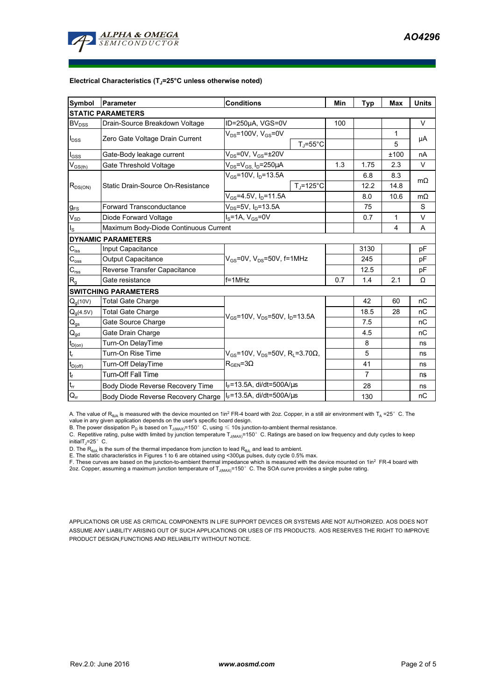

#### **Electrical Characteristics (TJ=25°C unless otherwise noted)**

| <b>Symbol</b>                          | Parameter                                                               | <b>Conditions</b>                                                           |                | Min            | <b>Typ</b>              | Max       | <b>Units</b> |  |  |  |  |  |  |
|----------------------------------------|-------------------------------------------------------------------------|-----------------------------------------------------------------------------|----------------|----------------|-------------------------|-----------|--------------|--|--|--|--|--|--|
| <b>STATIC PARAMETERS</b>               |                                                                         |                                                                             |                |                |                         |           |              |  |  |  |  |  |  |
| <b>BV</b> <sub>DSS</sub>               | Drain-Source Breakdown Voltage<br>ID=250µA, VGS=0V                      |                                                                             |                | 100            |                         |           | V            |  |  |  |  |  |  |
| $I_{DSS}$                              |                                                                         | $V_{DS}$ =100V, $V_{GS}$ =0V<br>$T_i = 55^{\circ}C$                         |                |                |                         | 1         | μA           |  |  |  |  |  |  |
|                                        | Zero Gate Voltage Drain Current                                         |                                                                             |                |                |                         | 5         |              |  |  |  |  |  |  |
| $I_{GSS}$                              | Gate-Body leakage current                                               | $V_{DS}$ =0V, $V_{GS}$ = $\pm$ 20V                                          |                |                |                         | ±100      | nA           |  |  |  |  |  |  |
| $V_{GS(th)}$                           | Gate Threshold Voltage                                                  | $V_{DS}$ = $V_{GS}$ , I <sub>D</sub> =250µA                                 | 1.3            | 1.75           | 2.3                     | V         |              |  |  |  |  |  |  |
| $R_{DS(ON)}$                           |                                                                         | $V_{GS}$ =10V, $I_D$ =13.5A                                                 |                |                | 6.8                     | 8.3       | $m\Omega$    |  |  |  |  |  |  |
|                                        | Static Drain-Source On-Resistance                                       |                                                                             | $T_J = 125$ °C |                | 12.2                    | 14.8      |              |  |  |  |  |  |  |
|                                        |                                                                         | $V_{GS}$ =4.5V, I <sub>D</sub> =11.5A                                       |                | 8.0            | 10.6                    | $m\Omega$ |              |  |  |  |  |  |  |
| $g_{FS}$                               | $V_{DS} = 5V$ , $I_D = 13.5A$<br>Forward Transconductance               |                                                                             |                |                | 75                      |           | S            |  |  |  |  |  |  |
| $V_{SD}$                               | $I_S = 1A$ , $V_{GS} = 0V$<br>Diode Forward Voltage                     |                                                                             |                |                | 0.7                     | 1         | V            |  |  |  |  |  |  |
| $I_{\rm S}$                            | Maximum Body-Diode Continuous Current                                   |                                                                             |                |                | $\overline{\mathbf{4}}$ | A         |              |  |  |  |  |  |  |
| <b>DYNAMIC PARAMETERS</b>              |                                                                         |                                                                             |                |                |                         |           |              |  |  |  |  |  |  |
| $C_{\mathsf{iss}}$                     | Input Capacitance                                                       |                                                                             |                | 3130           |                         | pF        |              |  |  |  |  |  |  |
| $C_{\rm oss}$                          | $V_{GS}$ =0V, $V_{DS}$ =50V, f=1MHz<br>Output Capacitance               |                                                                             |                |                | 245                     |           | рF           |  |  |  |  |  |  |
| $\mathbf{C}_{\text{rss}}$              | Reverse Transfer Capacitance                                            |                                                                             |                | 12.5           |                         | рF        |              |  |  |  |  |  |  |
| $R_{g}$                                | Gate resistance                                                         | $f = 1$ MHz                                                                 | 0.7            | 1.4            | 2.1                     | Ω         |              |  |  |  |  |  |  |
|                                        | <b>SWITCHING PARAMETERS</b>                                             |                                                                             |                |                |                         |           |              |  |  |  |  |  |  |
| $Q_q(10V)$                             | <b>Total Gate Charge</b>                                                | $V_{GS}$ =10V, $V_{DS}$ =50V, $I_{D}$ =13.5A                                |                |                | 42                      | 60        | nC           |  |  |  |  |  |  |
| $Q_g(4.5V)$                            | <b>Total Gate Charge</b>                                                |                                                                             |                |                | 18.5                    | 28        | nC           |  |  |  |  |  |  |
| $\mathsf{Q}_{\text{gs}}$               | Gate Source Charge                                                      |                                                                             |                |                | 7.5                     |           | nC           |  |  |  |  |  |  |
| $\mathsf{Q}_{\underline{\mathsf{gd}}}$ | Gate Drain Charge                                                       |                                                                             |                | 4.5            |                         | nC        |              |  |  |  |  |  |  |
| $t_{D(0n)}$                            | Turn-On DelayTime                                                       |                                                                             |                | 8              |                         | ns        |              |  |  |  |  |  |  |
| $t_r$                                  | Turn-On Rise Time                                                       | $V_{\text{gs}}$ =10V, V <sub>DS</sub> =50V, R <sub>i</sub> =3.70 $\Omega$ , |                |                | 5                       |           | ns           |  |  |  |  |  |  |
| $t_{D(off)}$                           | Turn-Off DelayTime                                                      | $R_{\text{GEN}} = 3\Omega$                                                  |                | 41             |                         | ns        |              |  |  |  |  |  |  |
| $\mathbf{t}_\text{f}$                  | Turn-Off Fall Time                                                      |                                                                             |                | $\overline{7}$ |                         | ns        |              |  |  |  |  |  |  |
| $\overline{t}_{rr}$                    | Body Diode Reverse Recovery Time                                        | $I_F$ =13.5A, di/dt=500A/ $\mu$ s                                           |                |                | 28                      |           | ns           |  |  |  |  |  |  |
| $Q_{rr}$                               | $I_F$ =13.5A, di/dt=500A/ $\mu$ s<br>Body Diode Reverse Recovery Charge |                                                                             |                |                | 130                     |           | nC           |  |  |  |  |  |  |

A. The value of R<sub>BJA</sub> is measured with the device mounted on 1in<sup>2</sup> FR-4 board with 2oz. Copper, in a still air environment with T<sub>A</sub> =25° C. The value in any given application depends on the user's specific board design.

B. The power dissipation  ${\sf P}_{\sf D}$  is based on  ${\sf T}_{\sf J(MAX)}$ =150 $^\circ\,$  C, using  $\leqslant$  10s junction-to-ambient thermal resistance.

C. Repetitive rating, pulse width limited by junction temperature T<sub>J(MAX)</sub>=150°C. Ratings are based on low frequency and duty cycles to keep

initialT $\overline{I}$ =25° C.

D. The R<sub>®JA</sub> is the sum of the thermal impedance from junction to lead R<sub>®JL</sub> and lead to ambient.<br>E. The static characteristics in Figures 1 to 6 are obtained using <300µs pulses, duty cycle 0.5% max.<br>F. These curves ar

2oz. Copper, assuming a maximum junction temperature of  $T_{J(MAX)}$ =150°C. The SOA curve provides a single pulse rating.

APPLICATIONS OR USE AS CRITICAL COMPONENTS IN LIFE SUPPORT DEVICES OR SYSTEMS ARE NOT AUTHORIZED. AOS DOES NOT ASSUME ANY LIABILITY ARISING OUT OF SUCH APPLICATIONS OR USES OF ITS PRODUCTS. AOS RESERVES THE RIGHT TO IMPROVE PRODUCT DESIGN,FUNCTIONS AND RELIABILITY WITHOUT NOTICE.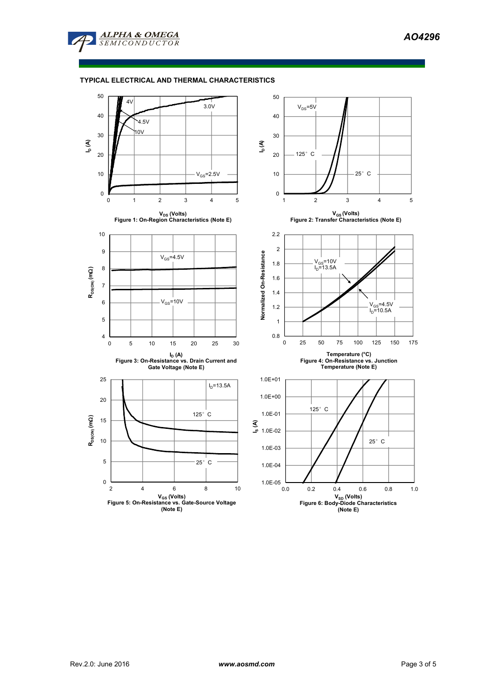



# **TYPICAL ELECTRICAL AND THERMAL CHARACTERISTICS**

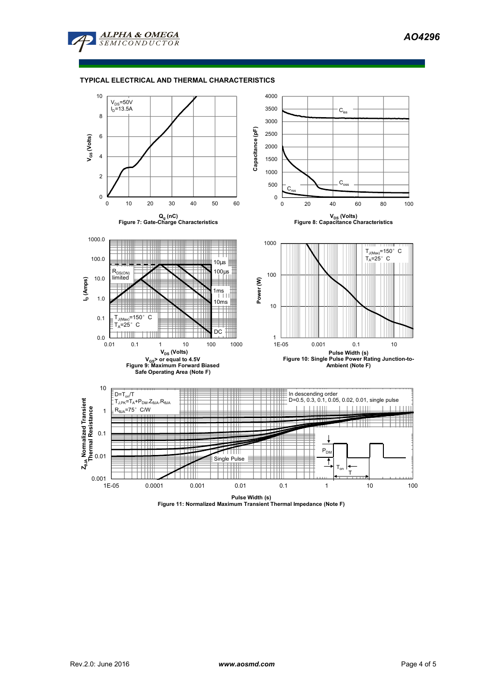

### **TYPICAL ELECTRICAL AND THERMAL CHARACTERISTICS**